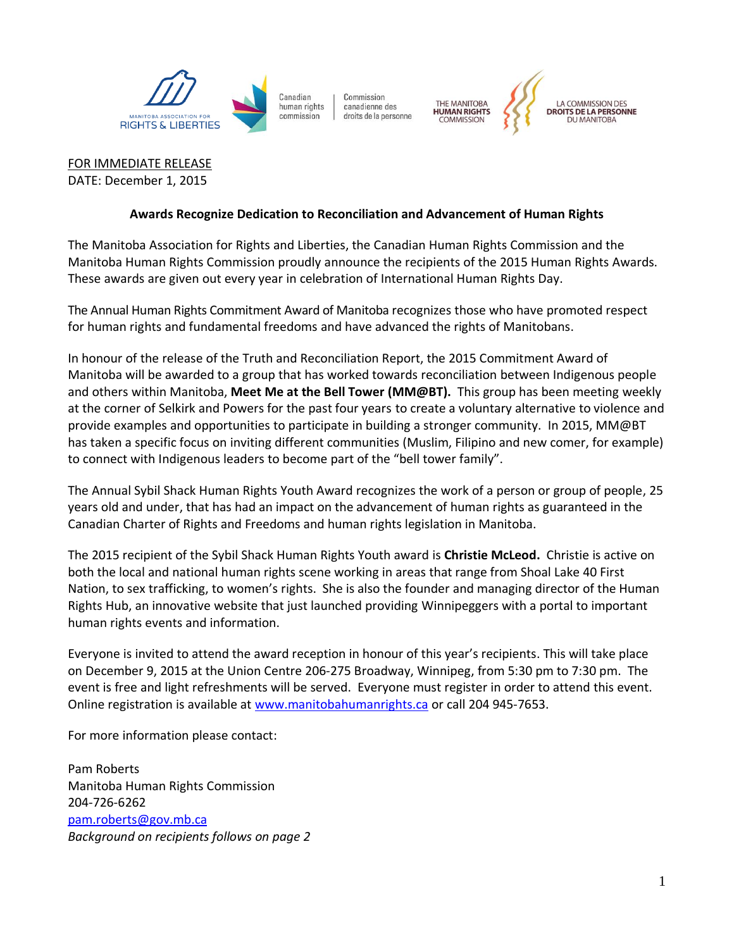

Commission canadienne des droits de la personne THE MANITOBA<br>**HUMAN RIGHTS** 



FOR IMMEDIATE RELEASE DATE: December 1, 2015

## **Awards Recognize Dedication to Reconciliation and Advancement of Human Rights**

The Manitoba Association for Rights and Liberties, the Canadian Human Rights Commission and the Manitoba Human Rights Commission proudly announce the recipients of the 2015 Human Rights Awards. These awards are given out every year in celebration of International Human Rights Day.

The Annual Human Rights Commitment Award of Manitoba recognizes those who have promoted respect for human rights and fundamental freedoms and have advanced the rights of Manitobans.

In honour of the release of the Truth and Reconciliation Report, the 2015 Commitment Award of Manitoba will be awarded to a group that has worked towards reconciliation between Indigenous people and others within Manitoba, **Meet Me at the Bell Tower (MM@BT).** This group has been meeting weekly at the corner of Selkirk and Powers for the past four years to create a voluntary alternative to violence and provide examples and opportunities to participate in building a stronger community. In 2015, MM@BT has taken a specific focus on inviting different communities (Muslim, Filipino and new comer, for example) to connect with Indigenous leaders to become part of the "bell tower family".

The Annual Sybil Shack Human Rights Youth Award recognizes the work of a person or group of people, 25 years old and under, that has had an impact on the advancement of human rights as guaranteed in the Canadian Charter of Rights and Freedoms and human rights legislation in Manitoba.

The 2015 recipient of the Sybil Shack Human Rights Youth award is **Christie McLeod.** Christie is active on both the local and national human rights scene working in areas that range from Shoal Lake 40 First Nation, to sex trafficking, to women's rights. She is also the founder and managing director of the Human Rights Hub, an innovative website that just launched providing Winnipeggers with a portal to important human rights events and information.

Everyone is invited to attend the award reception in honour of this year's recipients. This will take place on December 9, 2015 at the Union Centre 206-275 Broadway, Winnipeg, from 5:30 pm to 7:30 pm. The event is free and light refreshments will be served. Everyone must register in order to attend this event. Online registration is available at [www.manitobahumanrights.ca](https://www.manitobahumanrights.ca/) or call 204 945-7653.

For more information please contact:

Pam Roberts Manitoba Human Rights Commission 204-726-6262 [pam.roberts@gov.mb.ca](mailto:pam.roberts@gov.mb.ca) *Background on recipients follows on page 2*